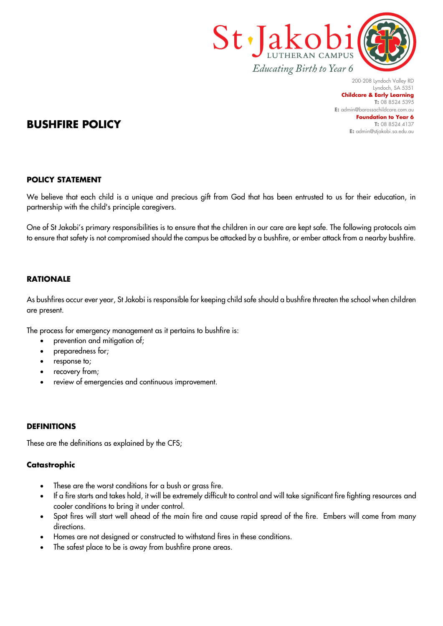

200-208 Lyndoch Valley RD Lyndoch, SA 5351 **Childcare & Early Learning T:** 08 8524 5395 **E:** [admin@barossachildcare.com.au](mailto:admin@barossachildcare.com.au) **Foundation to Year 6 T:** 08 8524 4137 **E:** admin@stjakobi.sa.edu.au

# **BUSHFIRE POLICY**

#### **POLICY STATEMENT**

We believe that each child is a unique and precious gift from God that has been entrusted to us for their education, in partnership with the child's principle caregivers.

One of St Jakobi's primary responsibilities is to ensure that the children in our care are kept safe. The following protocols aim to ensure that safety is not compromised should the campus be attacked by a bushfire, or ember attack from a nearby bushfire.

#### **RATIONALE**

As bushfires occur ever year, St Jakobi is responsible for keeping child safe should a bushfire threaten the school when children are present.

The process for emergency management as it pertains to bushfire is:

- prevention and mitigation of;
- preparedness for;
- response to;
- recovery from;
- review of emergencies and continuous improvement.

#### **DEFINITIONS**

These are the definitions as explained by the CFS;

#### **Catastrophic**

- These are the worst conditions for a bush or grass fire.
- If a fire starts and takes hold, it will be extremely difficult to control and will take significant fire fighting resources and cooler conditions to bring it under control.
- Spot fires will start well ahead of the main fire and cause rapid spread of the fire. Embers will come from many directions.
- Homes are not designed or constructed to withstand fires in these conditions.
- The safest place to be is away from bushfire prone areas.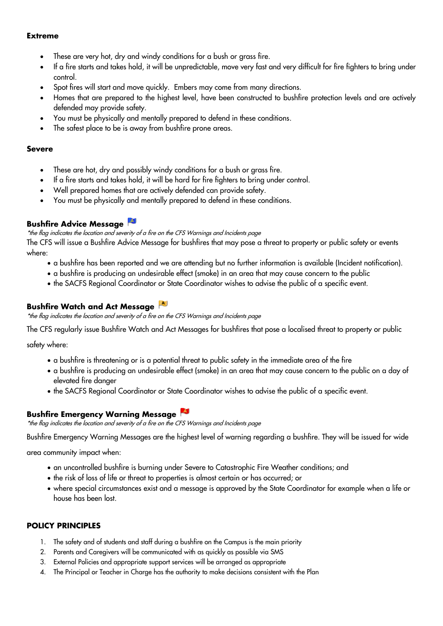#### **Extreme**

- These are very hot, dry and windy conditions for a bush or arass fire.
- If a fire starts and takes hold, it will be unpredictable, move very fast and very difficult for fire fighters to bring under control.
- Spot fires will start and move quickly. Embers may come from many directions.
- Homes that are prepared to the highest level, have been constructed to bushfire protection levels and are actively defended may provide safety.
- You must be physically and mentally prepared to defend in these conditions.
- The safest place to be is away from bushfire prone areas.

#### **Severe**

- These are hot, dry and possibly windy conditions for a bush or grass fire.
- If a fire starts and takes hold, it will be hard for fire fighters to bring under control.
- Well prepared homes that are actively defended can provide safety.
- You must be physically and mentally prepared to defend in these conditions.

## **Bushfire Advice Message**

\*the flag indicates the location and severity of a fire on the CFS Warnings and Incidents page

The CFS will issue a Bushfire Advice Message for bushfires that may pose a threat to property or public safety or events where:

- a bushfire has been reported and we are attending but no further information is available (Incident notification).
- a bushfire is producing an undesirable effect (smoke) in an area that may cause concern to the public
- the SACFS Regional Coordinator or State Coordinator wishes to advise the public of a specific event.

## **Bushfire Watch and Act Message**

\*the flag indicates the location and severity of a fire on the CFS Warnings and Incidents page

The CFS regularly issue Bushfire Watch and Act Messages for bushfires that pose a localised threat to property or public

safety where:

- a bushfire is threatening or is a potential threat to public safety in the immediate area of the fire
- a bushfire is producing an undesirable effect (smoke) in an area that may cause concern to the public on a day of elevated fire danger
- the SACFS Regional Coordinator or State Coordinator wishes to advise the public of a specific event.

## **Bushfire Emergency Warning Message**

\*the flag indicates the location and severity of a fire on the CFS Warnings and Incidents page

Bushfire Emergency Warning Messages are the highest level of warning regarding a bushfire. They will be issued for wide

area community impact when:

- an uncontrolled bushfire is burning under Severe to Catastrophic Fire Weather conditions; and
- the risk of loss of life or threat to properties is almost certain or has occurred; or
- where special circumstances exist and a message is approved by the State Coordinator for example when a life or house has been lost.

## **POLICY PRINCIPLES**

- 1. The safety and of students and staff during a bushfire on the Campus is the main priority
- 2. Parents and Caregivers will be communicated with as quickly as possible via SMS
- 3. External Policies and appropriate support services will be arranged as appropriate
- 4. The Principal or Teacher in Charge has the authority to make decisions consistent with the Plan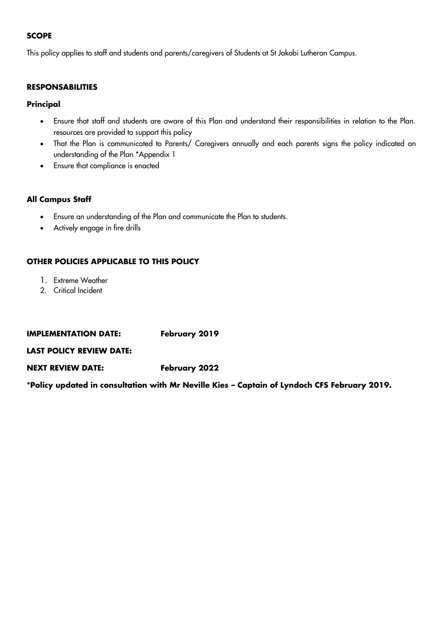#### **SCOPE**

This policy applies to staff and students and parents/caregivers of Students at St Jakobi Lutheran Campus.

#### **RESPONSABILITIES**

#### **Principal**

- Ensure that staff and students are aware of this Plan and understand their responsibilities in relation to the Plan. resources are provided to support this policy
- That the Plan is communicated to Parents/ Caregivers annually and each parents signs the policy indicated an understanding of the Plan \*Appendix 1
- Ensure that compliance is enacted

#### **All Campus Staff**

- Ensure an understanding of the Plan and communicate the Plan to students.
- Actively engage in fire drills

#### **OTHER POLICIES APPLICABLE TO THIS POLICY**

- 1. Extreme Weather
- 2. Critical Incident

#### **IMPLEMENTATION DATE:** February 2019

**LAST POLICY REVIEW DATE:**

#### **NEXT REVIEW DATE: February 2022**

**\*Policy updated in consultation with Mr Neville Kies – Captain of Lyndoch CFS February 2019.**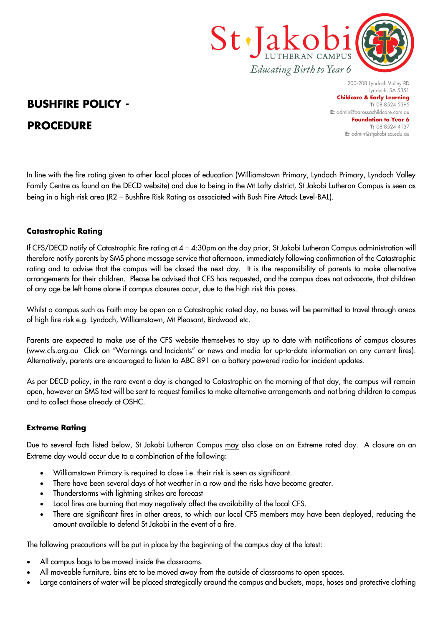

# **BUSHFIRE POLICY - PROCEDURE**

200-208 Lyndoch Valley RD Lyndoch, SA 5351 **Childcare & Early Learning T:** 08 8524 5395 **E:** [admin@barossachildcare.com.au](mailto:admin@barossachildcare.com.au) **Foundation to Year 6 T:** 08 8524 4137 **E:** admin@stjakobi.sa.edu.au

In line with the fire rating given to other local places of education (Williamstown Primary, Lyndoch Primary, Lyndoch Valley Family Centre as found on the DECD website) and due to being in the Mt Lofty district, St Jakobi Lutheran Campus is seen as being in a high-risk area (R2 – Bushfire Risk Rating as associated with Bush Fire Attack Level-BAL).

## **Catastrophic Rating**

If CFS/DECD notify of Catastrophic fire rating at 4 – 4:30pm on the day prior, St Jakobi Lutheran Campus administration will therefore notify parents by SMS phone message service that afternoon, immediately following confirmation of the Catastrophic rating and to advise that the campus will be closed the next day. It is the responsibility of parents to make alternative arrangements for their children. Please be advised that CFS has requested, and the campus does not advocate, that children of any age be left home alone if campus closures occur, due to the high risk this poses.

Whilst a campus such as Faith may be open on a Catastrophic rated day, no buses will be permitted to travel through areas of high fire risk e.g. Lyndoch, Williamstown, Mt Pleasant, Birdwood etc.

Parents are expected to make use of the CFS website themselves to stay up to date with notifications of campus closures (www.cfs.org.au Click on "Warnings and Incidents" or news and media for up-to-date information on any current fires). Alternatively, parents are encouraged to listen to ABC 891 on a battery powered radio for incident updates.

As per DECD policy, in the rare event a day is changed to Catastrophic on the morning of that day, the campus will remain open, however an SMS text will be sent to request families to make alternative arrangements and not bring children to campus and to collect those already at OSHC.

## **Extreme Rating**

Due to several facts listed below, St Jakobi Lutheran Campus may also close on an Extreme rated day. A closure on an Extreme day would occur due to a combination of the following:

- Williamstown Primary is required to close i.e. their risk is seen as significant.
- There have been several days of hot weather in a row and the risks have become greater.
- Thunderstorms with lightning strikes are forecast
- Local fires are burning that may negatively affect the availability of the local CFS.
- There are significant fires in other areas, to which our local CFS members may have been deployed, reducing the amount available to defend St Jakobi in the event of a fire.

The following precautions will be put in place by the beginning of the campus day at the latest:

- All campus bags to be moved inside the classrooms.
- All moveable furniture, bins etc to be moved away from the outside of classrooms to open spaces.
- Large containers of water will be placed strategically around the campus and buckets, mops, hoses and protective clothing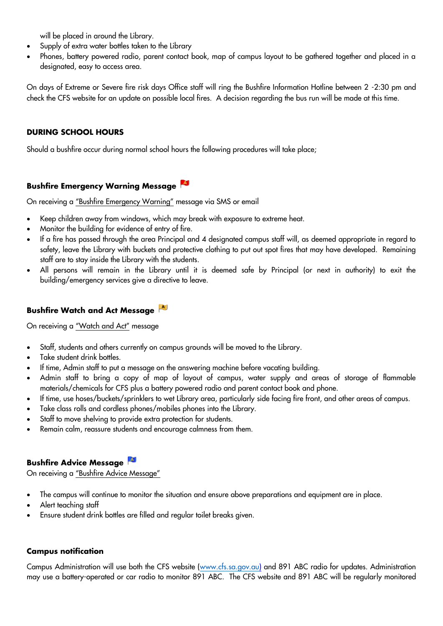will be placed in around the Library.

- Supply of extra water bottles taken to the Library
- Phones, battery powered radio, parent contact book, map of campus layout to be gathered together and placed in a designated, easy to access area.

On days of Extreme or Severe fire risk days Office staff will ring the Bushfire Information Hotline between 2 -2:30 pm and check the CFS website for an update on possible local fires. A decision regarding the bus run will be made at this time.

### **DURING SCHOOL HOURS**

Should a bushfire occur during normal school hours the following procedures will take place;

## **Bushfire Emergency Warning Message**

On receiving a "Bushfire Emergency Warning" message via SMS or email

- Keep children away from windows, which may break with exposure to extreme heat.
- Monitor the building for evidence of entry of fire.
- If a fire has passed through the area Principal and 4 designated campus staff will, as deemed appropriate in regard to safety, leave the Library with buckets and protective clothing to put out spot fires that may have developed. Remaining staff are to stay inside the Library with the students.
- All persons will remain in the Library until it is deemed safe by Principal (or next in authority) to exit the building/emergency services give a directive to leave.

#### **Bushfire Watch and Act Message**

On receiving a "Watch and Act" message

- Staff, students and others currently on campus grounds will be moved to the Library.
- Take student drink bottles.
- If time, Admin staff to put a message on the answering machine before vacating building.
- Admin staff to bring a copy of map of layout of campus, water supply and areas of storage of flammable materials/chemicals for CFS plus a battery powered radio and parent contact book and phone.
- If time, use hoses/buckets/sprinklers to wet Library area, particularly side facing fire front, and other areas of campus.
- Take class rolls and cordless phones/mobiles phones into the Library.
- Staff to move shelving to provide extra protection for students.
- Remain calm, reassure students and encourage calmness from them.

#### **Bushfire Advice Message**

On receiving a "Bushfire Advice Message"

- The campus will continue to monitor the situation and ensure above preparations and equipment are in place.
- Alert teaching staff
- Ensure student drink bottles are filled and regular toilet breaks given.

#### **Campus notification**

Campus Administration will use both the CFS website [\(www.cfs.sa.gov.au\)](http://www.cfs.sa.gov.au/) and 891 ABC radio for updates. Administration may use a battery-operated or car radio to monitor 891 ABC. The CFS website and 891 ABC will be regularly monitored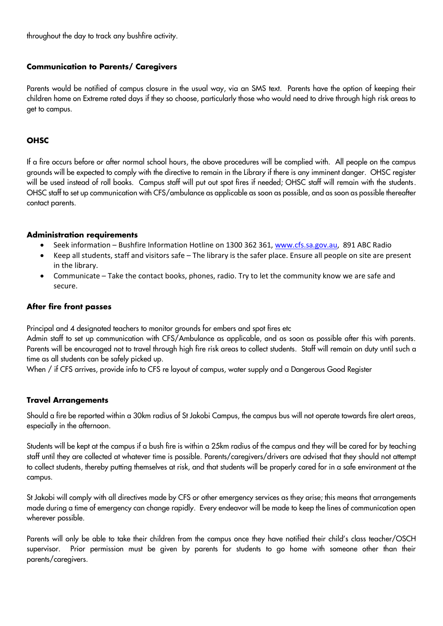throughout the day to track any bushfire activity.

#### **Communication to Parents/ Caregivers**

Parents would be notified of campus closure in the usual way, via an SMS text. Parents have the option of keeping their children home on Extreme rated days if they so choose, particularly those who would need to drive through high risk areas to get to campus.

#### **OHSC**

If a fire occurs before or after normal school hours, the above procedures will be complied with. All people on the campus grounds will be expected to comply with the directive to remain in the Library if there is any imminent danger. OHSC register will be used instead of roll books. Campus staff will put out spot fires if needed; OHSC staff will remain with the students. OHSC staff to set up communication with CFS/ambulance as applicable as soon as possible, and as soon as possible thereafter contact parents.

#### **Administration requirements**

- Seek information Bushfire Information Hotline on 1300 362 361[, www.cfs.sa.gov.au,](http://www.cfs.sa.gov.au/) 891 ABC Radio
- Keep all students, staff and visitors safe The library is the safer place. Ensure all people on site are present in the library.
- Communicate Take the contact books, phones, radio. Try to let the community know we are safe and secure.

#### **After fire front passes**

Principal and 4 designated teachers to monitor grounds for embers and spot fires etc

Admin staff to set up communication with CFS/Ambulance as applicable, and as soon as possible after this with parents. Parents will be encouraged not to travel through high fire risk areas to collect students. Staff will remain on duty until such a time as all students can be safely picked up.

When / if CFS arrives, provide info to CFS re layout of campus, water supply and a Dangerous Good Register

#### **Travel Arrangements**

Should a fire be reported within a 30km radius of St Jakobi Campus, the campus bus will not operate towards fire alert areas, especially in the afternoon.

Students will be kept at the campus if a bush fire is within a 25km radius of the campus and they will be cared for by teaching staff until they are collected at whatever time is possible. Parents/caregivers/drivers are advised that they should not attempt to collect students, thereby putting themselves at risk, and that students will be properly cared for in a safe environment at the campus.

St Jakobi will comply with all directives made by CFS or other emergency services as they arise; this means that arrangements made during a time of emergency can change rapidly. Every endeavor will be made to keep the lines of communication open wherever possible.

Parents will only be able to take their children from the campus once they have notified their child's class teacher/OSCH supervisor. Prior permission must be given by parents for students to go home with someone other than their parents/caregivers.